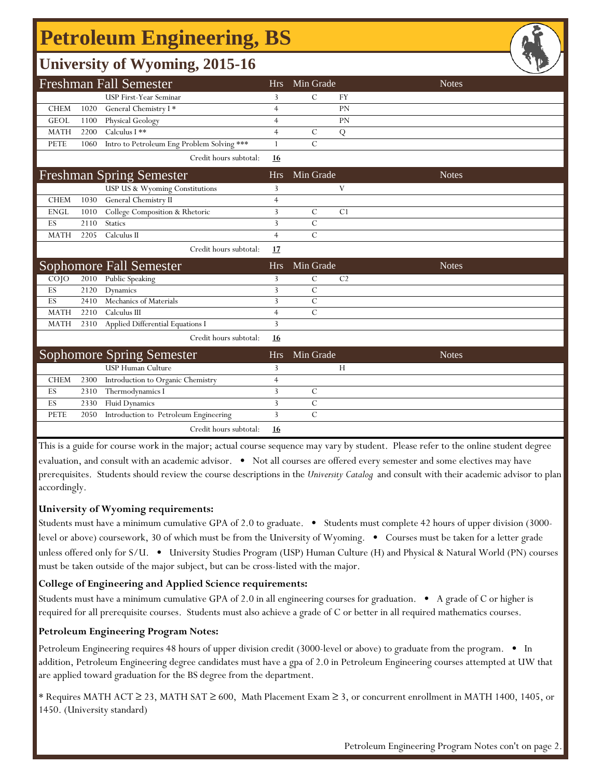# **Petroleum Engineering, BS**

| <b>University of Wyoming, 2015-16</b> |      |                                            |                |                |                |              |  |  |  |  |  |
|---------------------------------------|------|--------------------------------------------|----------------|----------------|----------------|--------------|--|--|--|--|--|
| <b>Freshman Fall Semester</b>         |      |                                            |                | Min Grade      |                | <b>Notes</b> |  |  |  |  |  |
|                                       |      | <b>USP First-Year Seminar</b>              | 3              | $\mathcal{C}$  | <b>FY</b>      |              |  |  |  |  |  |
| <b>CHEM</b>                           | 1020 | General Chemistry I*                       | 4              |                | <b>PN</b>      |              |  |  |  |  |  |
| <b>GEOL</b>                           | 1100 | Physical Geology                           | $\overline{4}$ |                | PN             |              |  |  |  |  |  |
| <b>MATH</b>                           | 2200 | Calculus I **                              | $\overline{4}$ | $\mathcal{C}$  | Q              |              |  |  |  |  |  |
| <b>PETE</b>                           | 1060 | Intro to Petroleum Eng Problem Solving *** | $\mathbf{1}$   | $\overline{C}$ |                |              |  |  |  |  |  |
|                                       |      | Credit hours subtotal:                     | 16             |                |                |              |  |  |  |  |  |
|                                       |      | <b>Freshman Spring Semester</b>            | <b>Hrs</b>     | Min Grade      |                | <b>Notes</b> |  |  |  |  |  |
|                                       |      | USP US & Wyoming Constitutions             | 3              |                | V              |              |  |  |  |  |  |
| <b>CHEM</b>                           | 1030 | General Chemistry II                       | $\overline{4}$ |                |                |              |  |  |  |  |  |
| <b>ENGL</b>                           | 1010 | College Composition & Rhetoric             | 3              | $\mathcal{C}$  | C1             |              |  |  |  |  |  |
| ES                                    | 2110 | <b>Statics</b>                             | 3              | $\mathcal{C}$  |                |              |  |  |  |  |  |
| <b>MATH</b>                           | 2205 | Calculus II                                | $\overline{4}$ | $\overline{C}$ |                |              |  |  |  |  |  |
|                                       |      | Credit hours subtotal:                     | 17             |                |                |              |  |  |  |  |  |
|                                       |      | Sophomore Fall Semester                    | <b>Hrs</b>     | Min Grade      |                | <b>Notes</b> |  |  |  |  |  |
| $CO$ $JO$                             | 2010 | Public Speaking                            | 3              | $\mathcal{C}$  | C <sub>2</sub> |              |  |  |  |  |  |
| ES                                    | 2120 | Dynamics                                   | 3              | $\mathcal{C}$  |                |              |  |  |  |  |  |
| ES                                    | 2410 | Mechanics of Materials                     | 3              | $\overline{C}$ |                |              |  |  |  |  |  |
| <b>MATH</b>                           | 2210 | Calculus III                               | $\overline{4}$ | $\overline{C}$ |                |              |  |  |  |  |  |
| <b>MATH</b>                           | 2310 | Applied Differential Equations I           | 3              |                |                |              |  |  |  |  |  |
|                                       |      | Credit hours subtotal:                     | 16             |                |                |              |  |  |  |  |  |
| <b>Sophomore Spring Semester</b>      |      |                                            | <b>Hrs</b>     | Min Grade      |                | <b>Notes</b> |  |  |  |  |  |
|                                       |      | <b>USP Human Culture</b>                   | 3              |                | H              |              |  |  |  |  |  |
| <b>CHEM</b>                           | 2300 | Introduction to Organic Chemistry          | $\overline{4}$ |                |                |              |  |  |  |  |  |
| ES                                    | 2310 | Thermodynamics I                           | 3              | $\mathcal{C}$  |                |              |  |  |  |  |  |
| ES                                    | 2330 | <b>Fluid Dynamics</b>                      | 3              | $\mathcal{C}$  |                |              |  |  |  |  |  |
| PETE                                  | 2050 | Introduction to Petroleum Engineering      | $\overline{3}$ | $\overline{C}$ |                |              |  |  |  |  |  |
|                                       |      | Credit hours subtotal:                     | 16             |                |                |              |  |  |  |  |  |

This is a guide for course work in the major; actual course sequence may vary by student. Please refer to the online student degree evaluation, and consult with an academic advisor. • Not all courses are offered every semester and some electives may have prerequisites. Students should review the course descriptions in the *University Catalog* and consult with their academic advisor to plan accordingly.

#### **University of Wyoming requirements:**

Students must have a minimum cumulative GPA of 2.0 to graduate. • Students must complete 42 hours of upper division (3000 level or above) coursework, 30 of which must be from the University of Wyoming. • Courses must be taken for a letter grade unless offered only for S/U. • University Studies Program (USP) Human Culture (H) and Physical & Natural World (PN) courses must be taken outside of the major subject, but can be cross-listed with the major.

#### **College of Engineering and Applied Science requirements:**

Students must have a minimum cumulative GPA of 2.0 in all engineering courses for graduation. • A grade of C or higher is required for all prerequisite courses. Students must also achieve a grade of C or better in all required mathematics courses.

#### **Petroleum Engineering Program Notes:**

Petroleum Engineering requires 48 hours of upper division credit (3000-level or above) to graduate from the program. • In addition, Petroleum Engineering degree candidates must have a gpa of 2.0 in Petroleum Engineering courses attempted at UW that are applied toward graduation for the BS degree from the department.

\* Requires MATH ACT ≥ 23, MATH SAT ≥ 600, Math Placement Exam ≥ 3, or concurrent enrollment in MATH 1400, 1405, or 1450. (University standard)